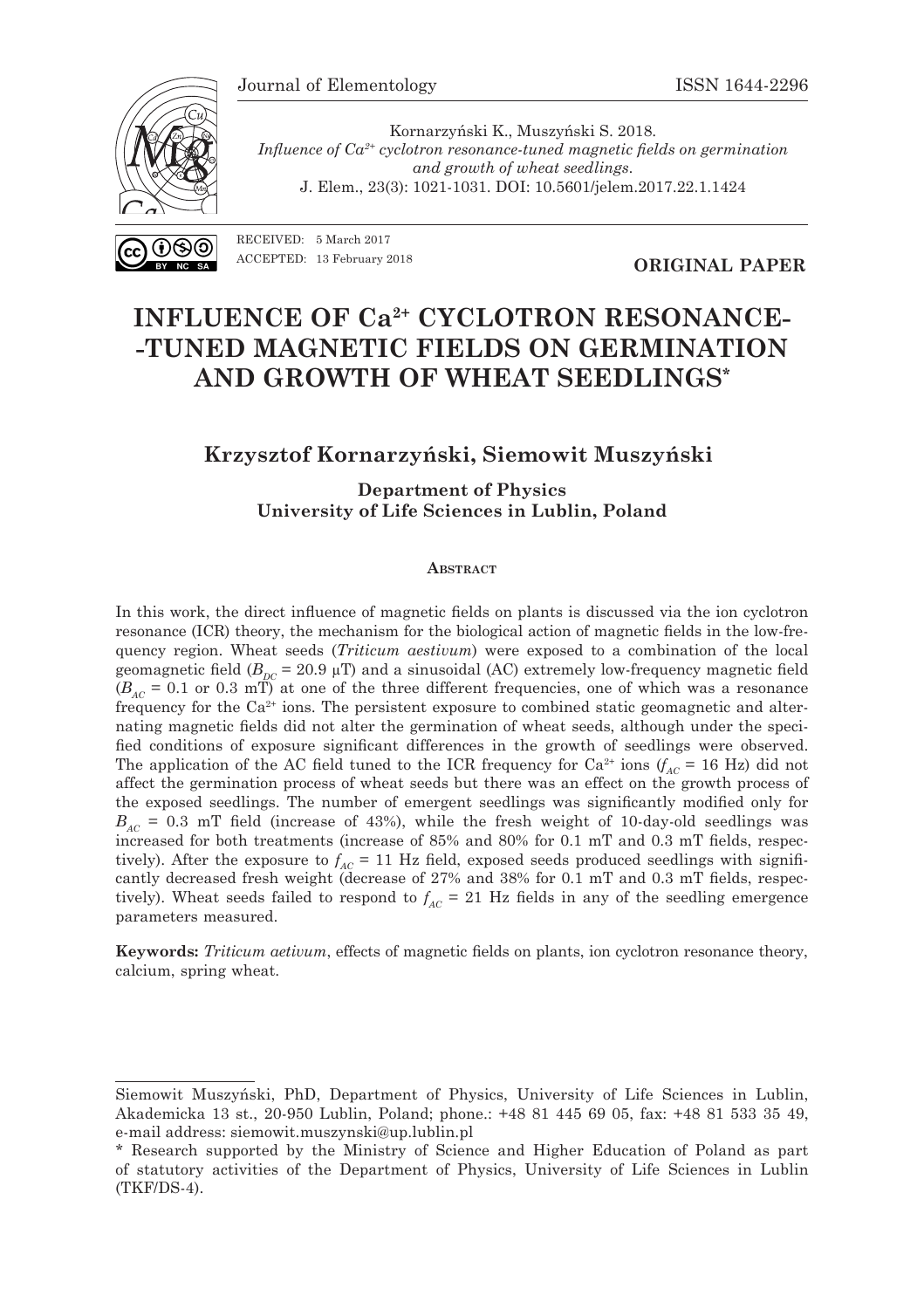

Kornarzyński K., Muszyński S. 2018. *Influence of Ca2+ cyclotron resonance-tuned magnetic fields on germination and growth of wheat seedlings*. J. Elem., 23(3): 1021-1031. DOI: 10.5601/jelem.2017.22.1.1424

RECEIVED: 5 March 2017 ACCEPTED: 13 February 2018

**ORIGINAL PAPER**

# **INFLUENCE OF Ca2+ CYCLOTRON RESONANCE- -TUNED MAGNETIC FIELDS ON GERMINATION AND GROWTH OF WHEAT SEEDLINGS\***

### **Krzysztof Kornarzyński, Siemowit Muszyński<sup>1</sup>**

**Department of Physics University of Life Sciences in Lublin, Poland**

#### **ABSTRACT**

In this work, the direct influence of magnetic fields on plants is discussed via the ion cyclotron resonance (ICR) theory, the mechanism for the biological action of magnetic fields in the low-frequency region. Wheat seeds (*Triticum aestivum*) were exposed to a combination of the local geomagnetic field  $(B_{DC} = 20.9 \mu T)$  and a sinusoidal (AC) extremely low-frequency magnetic field  $(B_{AC} = 0.1$  or 0.3 mT) at one of the three different frequencies, one of which was a resonance frequency for the Ca2+ ions. The persistent exposure to combined static geomagnetic and alternating magnetic fields did not alter the germination of wheat seeds, although under the specified conditions of exposure significant differences in the growth of seedlings were observed. The application of the AC field tuned to the ICR frequency for  $Ca^{2+}$  ions  $(f_{AC} = 16 \text{ Hz})$  did not affect the germination process of wheat seeds but there was an effect on the growth process of the exposed seedlings. The number of emergent seedlings was significantly modified only for  $B_{AC}$  = 0.3 mT field (increase of 43%), while the fresh weight of 10-day-old seedlings was increased for both treatments (increase of 85% and 80% for 0.1 mT and 0.3 mT fields, respectively). After the exposure to  $f_{AC}$  = 11 Hz field, exposed seeds produced seedlings with significantly decreased fresh weight (decrease of 27% and 38% for 0.1 mT and 0.3 mT fields, respectively). Wheat seeds failed to respond to  $f_{AC} = 21$  Hz fields in any of the seedling emergence parameters measured.

**Keywords:** *Triticum aetivum*, effects of magnetic fields on plants, ion cyclotron resonance theory, calcium, spring wheat.

Siemowit Muszyński, PhD, Department of Physics, University of Life Sciences in Lublin, Akademicka 13 st., 20-950 Lublin, Poland; phone.: +48 81 445 69 05, fax: +48 81 533 35 49, e-mail address: siemowit.muszynski@up.lublin.pl

<sup>\*</sup> Research supported by the Ministry of Science and Higher Education of Poland as part of statutory activities of the Department of Physics, University of Life Sciences in Lublin (TKF/DS-4).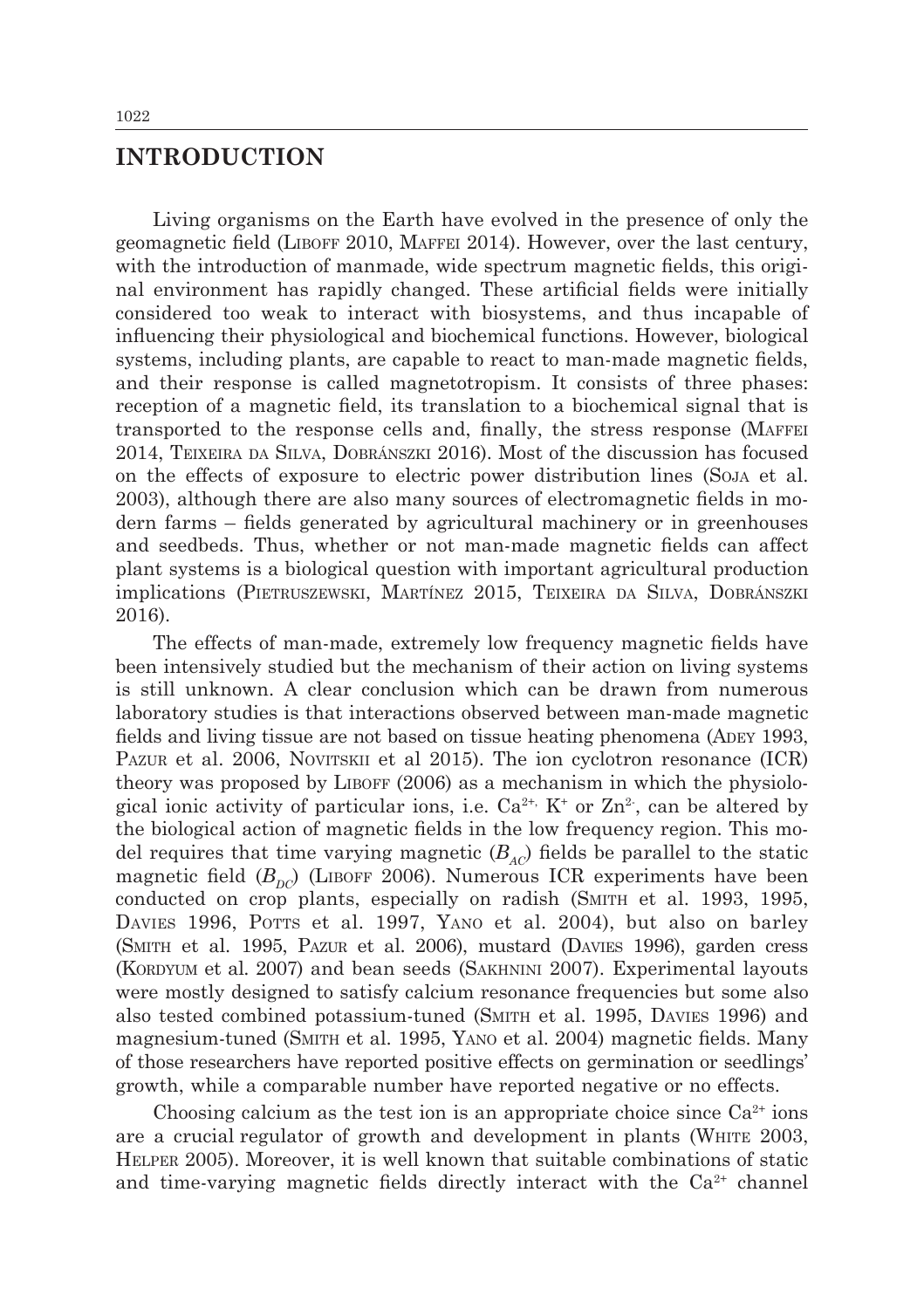# **INTRODUCTION**

Living organisms on the Earth have evolved in the presence of only the geomagnetic field (Liboff 2010, Maffei 2014). However, over the last century, with the introduction of manmade, wide spectrum magnetic fields, this original environment has rapidly changed. These artificial fields were initially considered too weak to interact with biosystems, and thus incapable of influencing their physiological and biochemical functions. However, biological systems, including plants, are capable to react to man-made magnetic fields, and their response is called magnetotropism. It consists of three phases: reception of a magnetic field, its translation to a biochemical signal that is transported to the response cells and, finally, the stress response (Maffei 2014, Teixeira da Silva, Dobránszki 2016). Most of the discussion has focused on the effects of exposure to electric power distribution lines (Soja et al. 2003), although there are also many sources of electromagnetic fields in modern farms – fields generated by agricultural machinery or in greenhouses and seedbeds. Thus, whether or not man-made magnetic fields can affect plant systems is a biological question with important agricultural production implications (Pietruszewski, Martínez 2015, Teixeira da Silva, Dobránszki 2016).

The effects of man-made, extremely low frequency magnetic fields have been intensively studied but the mechanism of their action on living systems is still unknown. A clear conclusion which can be drawn from numerous laboratory studies is that interactions observed between man-made magnetic fields and living tissue are not based on tissue heating phenomena (ADEY 1993, PAZUR et al. 2006, NOVITSKII et al 2015). The ion cyclotron resonance (ICR) theory was proposed by Liboff (2006) as a mechanism in which the physiological ionic activity of particular ions, i.e.  $Ca^{2+}$ ,  $K^+$  or  $Zn^2$ , can be altered by the biological action of magnetic fields in the low frequency region. This model requires that time varying magnetic  $(B_{AC})$  fields be parallel to the static magnetic field  $(B_{nc})$  (LIBOFF 2006). Numerous ICR experiments have been conducted on crop plants, especially on radish (Smith et al. 1993, 1995, DAVIES 1996, POTTS et al. 1997, YANO et al. 2004), but also on barley (Smith et al. 1995, Pazur et al. 2006), mustard (Davies 1996), garden cress (KORDYUM et al. 2007) and bean seeds (SAKHNINI 2007). Experimental layouts were mostly designed to satisfy calcium resonance frequencies but some also also tested combined potassium-tuned (Smith et al. 1995, Davies 1996) and magnesium-tuned (Smith et al. 1995, Yano et al. 2004) magnetic fields. Many of those researchers have reported positive effects on germination or seedlings' growth, while a comparable number have reported negative or no effects.

Choosing calcium as the test ion is an appropriate choice since  $Ca^{2+}$  ions are a crucial regulator of growth and development in plants (White 2003, Helper 2005). Moreover, it is well known that suitable combinations of static and time-varying magnetic fields directly interact with the  $Ca<sup>2+</sup>$  channel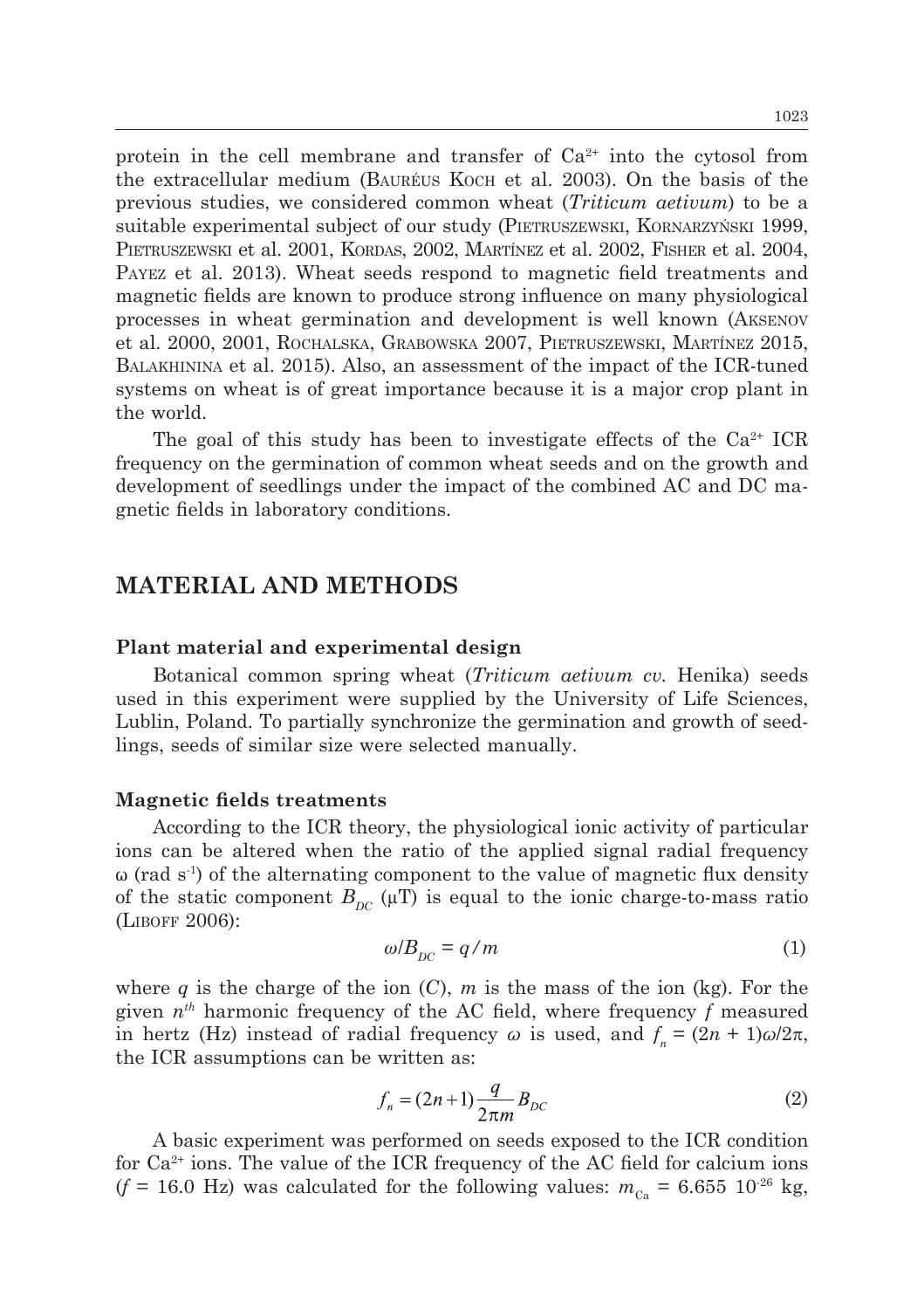protein in the cell membrane and transfer of  $Ca^{2+}$  into the cytosol from the extracellular medium (Bauréus Koch et al. 2003). On the basis of the previous studies, we considered common wheat (*Triticum aetivum*) to be a suitable experimental subject of our study (Pietruszewski, Kornarzyński 1999, PIETRUSZEWSKI et al. 2001, KORDAS, 2002, MARTÍNEZ et al. 2002, FISHER et al. 2004, Payez et al. 2013). Wheat seeds respond to magnetic field treatments and magnetic fields are known to produce strong influence on many physiological processes in wheat germination and development is well known (Aksenov et al. 2000, 2001, Rochalska, Grabowska 2007, Pietruszewski, Martínez 2015, Balakhinina et al. 2015). Also, an assessment of the impact of the ICR-tuned systems on wheat is of great importance because it is a major crop plant in the world.

The goal of this study has been to investigate effects of the  $Ca^{2+}$  ICR frequency on the germination of common wheat seeds and on the growth and development of seedlings under the impact of the combined AC and DC magnetic fields in laboratory conditions.

## **MATERIAL AND METHODS**

#### **Plant material and experimental design**

Botanical common spring wheat (*Triticum aetivum cv.* Henika) seeds used in this experiment were supplied by the University of Life Sciences, Lublin, Poland. To partially synchronize the germination and growth of seedlings, seeds of similar size were selected manually.

#### **Magnetic fields treatments**

According to the ICR theory, the physiological ionic activity of particular ions can be altered when the ratio of the applied signal radial frequency  $\omega$  (rad s<sup>-1</sup>) of the alternating component to the value of magnetic flux density of the static component  $B_{DC}$  ( $\mu$ T) is equal to the ionic charge-to-mass ratio (Liboff 2006):

$$
\omega/B_{DC} = q/m \tag{1}
$$

where  $q$  is the charge of the ion  $(C)$ ,  $m$  is the mass of the ion  $(kg)$ . For the given *nth* harmonic frequency of the AC field, where frequency *f* measured in hertz (Hz) instead of radial frequency  $\omega$  is used, and  $f_n = (2n + 1)\omega/2\pi$ , the ICR assumptions can be written as:

$$
f_n = (2n+1)\frac{q}{2\pi m}B_{DC}
$$
\n<sup>(2)</sup>

A basic experiment was performed on seeds exposed to the ICR condition for  $Ca^{2+}$  ions. The value of the ICR frequency of the AC field for calcium ions  $(f = 16.0 \text{ Hz})$  was calculated for the following values:  $m_{C_2} = 6.655 \cdot 10^{26} \text{ kg}$ ,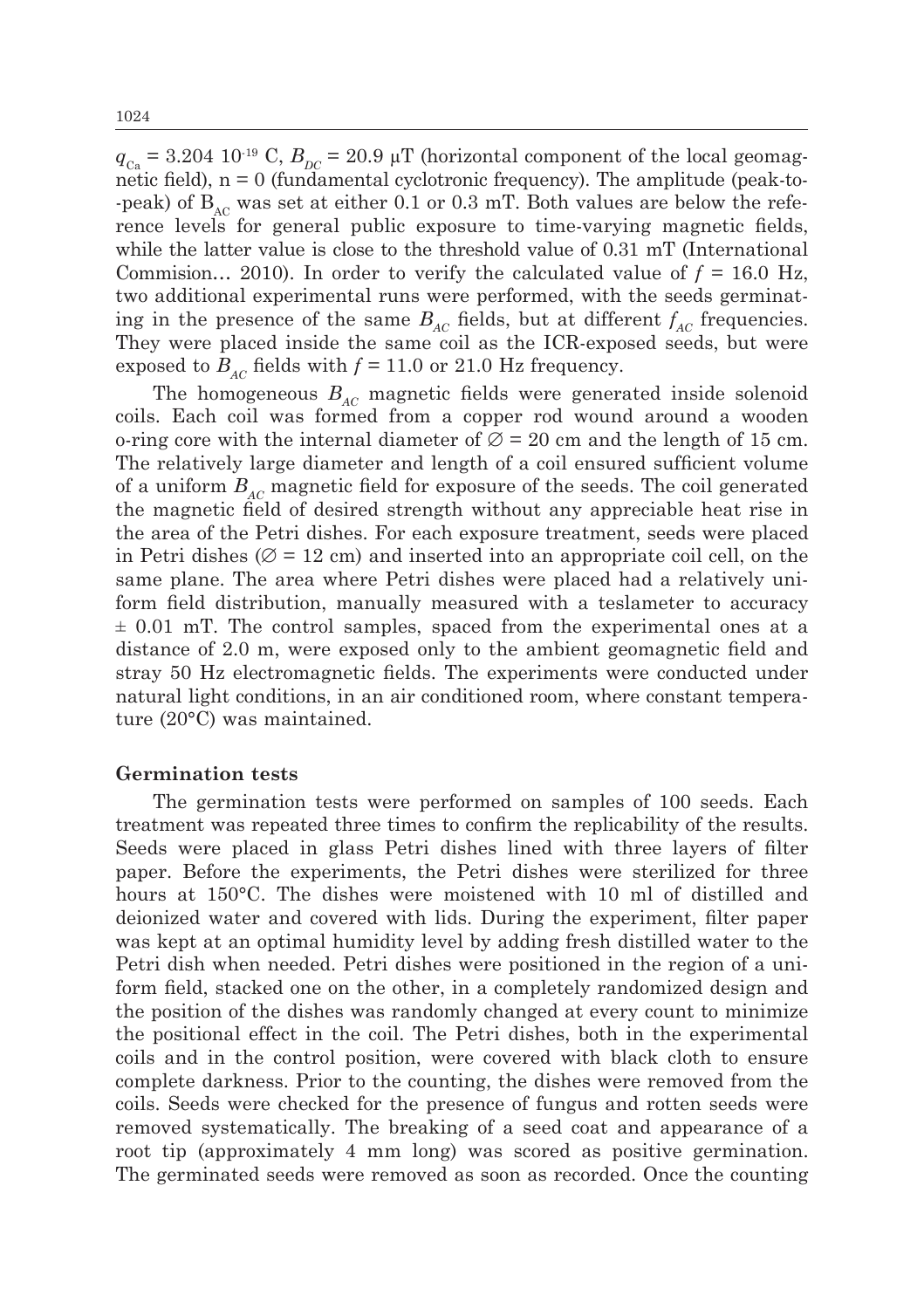$q_{\text{Ca}} = 3.204 \, 10^{-19} \, \text{C}, B_{\text{DC}} = 20.9 \, \mu \text{T}$  (horizontal component of the local geomagnetic field),  $n = 0$  (fundamental cyclotronic frequency). The amplitude (peak-to--peak) of  $B_{AC}$  was set at either 0.1 or 0.3 mT. Both values are below the reference levels for general public exposure to time-varying magnetic fields, while the latter value is close to the threshold value of 0.31 mT (International Commision… 2010). In order to verify the calculated value of *f =* 16.0 Hz, two additional experimental runs were performed, with the seeds germinating in the presence of the same  $B_{AC}$  fields, but at different  $f_{AC}$  frequencies. They were placed inside the same coil as the ICR-exposed seeds, but were exposed to  $B_{AC}$  fields with  $f = 11.0$  or 21.0 Hz frequency.

The homogeneous  $B_{AC}$  magnetic fields were generated inside solenoid coils. Each coil was formed from a copper rod wound around a wooden o-ring core with the internal diameter of  $\varnothing$  = 20 cm and the length of 15 cm. The relatively large diameter and length of a coil ensured sufficient volume of a uniform *BAC* magnetic field for exposure of the seeds. The coil generated the magnetic field of desired strength without any appreciable heat rise in the area of the Petri dishes. For each exposure treatment, seeds were placed in Petri dishes ( $\varnothing$  = 12 cm) and inserted into an appropriate coil cell, on the same plane. The area where Petri dishes were placed had a relatively uniform field distribution, manually measured with a teslameter to accuracy  $\pm$  0.01 mT. The control samples, spaced from the experimental ones at a distance of 2.0 m, were exposed only to the ambient geomagnetic field and stray 50 Hz electromagnetic fields. The experiments were conducted under natural light conditions, in an air conditioned room, where constant temperature (20°C) was maintained.

#### **Germination tests**

The germination tests were performed on samples of 100 seeds. Each treatment was repeated three times to confirm the replicability of the results. Seeds were placed in glass Petri dishes lined with three layers of filter paper. Before the experiments, the Petri dishes were sterilized for three hours at 150°C. The dishes were moistened with 10 ml of distilled and deionized water and covered with lids. During the experiment, filter paper was kept at an optimal humidity level by adding fresh distilled water to the Petri dish when needed. Petri dishes were positioned in the region of a uniform field, stacked one on the other, in a completely randomized design and the position of the dishes was randomly changed at every count to minimize the positional effect in the coil. The Petri dishes, both in the experimental coils and in the control position, were covered with black cloth to ensure complete darkness. Prior to the counting, the dishes were removed from the coils. Seeds were checked for the presence of fungus and rotten seeds were removed systematically. The breaking of a seed coat and appearance of a root tip (approximately 4 mm long) was scored as positive germination. The germinated seeds were removed as soon as recorded. Once the counting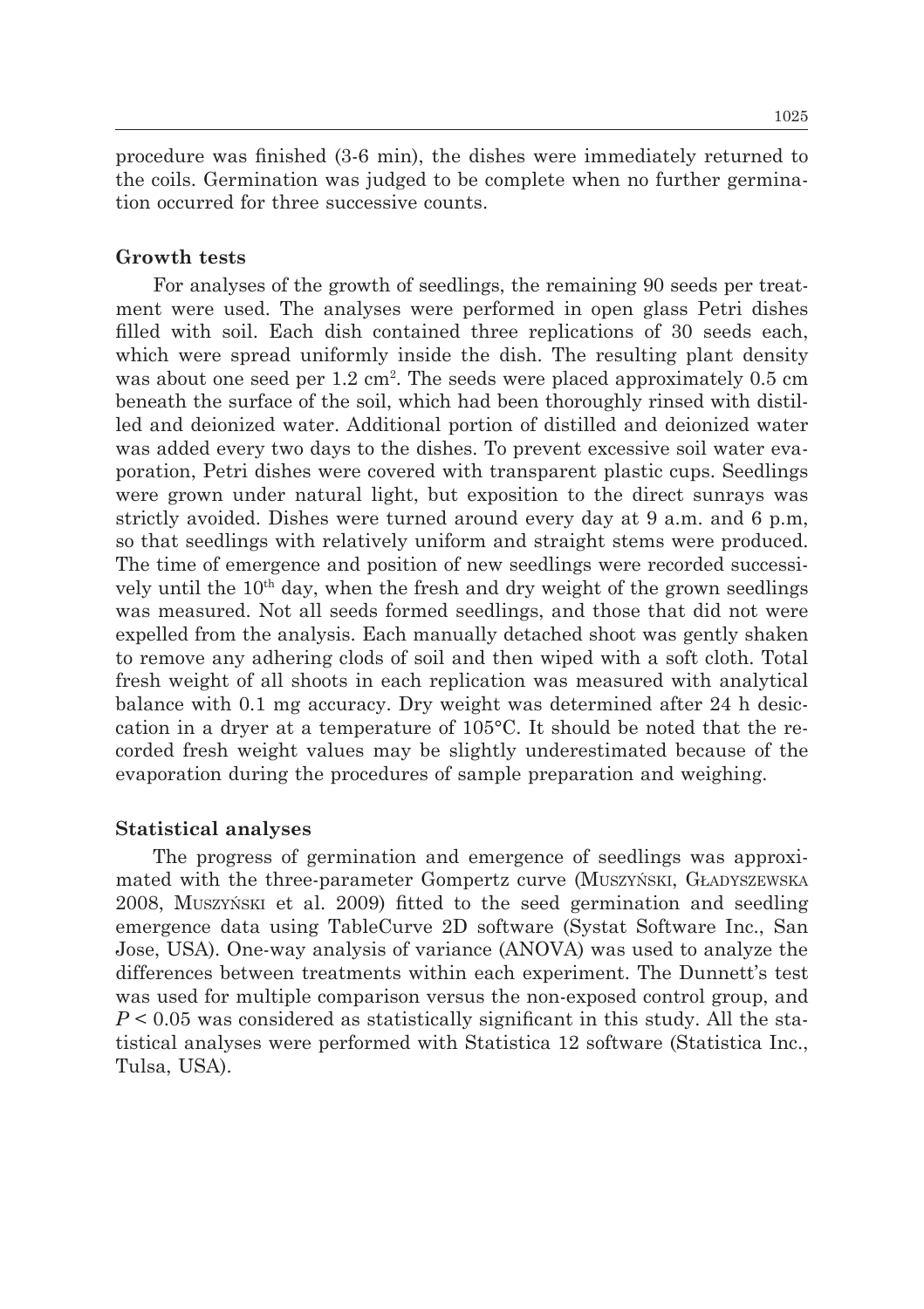procedure was finished (3-6 min), the dishes were immediately returned to the coils. Germination was judged to be complete when no further germination occurred for three successive counts.

#### **Growth tests**

For analyses of the growth of seedlings, the remaining 90 seeds per treatment were used. The analyses were performed in open glass Petri dishes filled with soil. Each dish contained three replications of 30 seeds each, which were spread uniformly inside the dish. The resulting plant density was about one seed per 1.2 cm<sup>2</sup>. The seeds were placed approximately 0.5 cm beneath the surface of the soil, which had been thoroughly rinsed with distilled and deionized water. Additional portion of distilled and deionized water was added every two days to the dishes. To prevent excessive soil water evaporation, Petri dishes were covered with transparent plastic cups. Seedlings were grown under natural light, but exposition to the direct sunrays was strictly avoided. Dishes were turned around every day at 9 a.m. and 6 p.m, so that seedlings with relatively uniform and straight stems were produced. The time of emergence and position of new seedlings were recorded successively until the 10<sup>th</sup> day, when the fresh and dry weight of the grown seedlings was measured. Not all seeds formed seedlings, and those that did not were expelled from the analysis. Each manually detached shoot was gently shaken to remove any adhering clods of soil and then wiped with a soft cloth. Total fresh weight of all shoots in each replication was measured with analytical balance with 0.1 mg accuracy. Dry weight was determined after 24 h desiccation in a dryer at a temperature of 105°C. It should be noted that the recorded fresh weight values may be slightly underestimated because of the evaporation during the procedures of sample preparation and weighing.

#### **Statistical analyses**

The progress of germination and emergence of seedlings was approximated with the three-parameter Gompertz curve (Muszyński, Gładyszewska 2008, Muszyński et al. 2009) fitted to the seed germination and seedling emergence data using TableCurve 2D software (Systat Software Inc., San Jose, USA). One-way analysis of variance (ANOVA) was used to analyze the differences between treatments within each experiment. The Dunnett's test was used for multiple comparison versus the non-exposed control group, and *P* < 0.05 was considered as statistically significant in this study. All the statistical analyses were performed with Statistica 12 software (Statistica Inc., Tulsa, USA).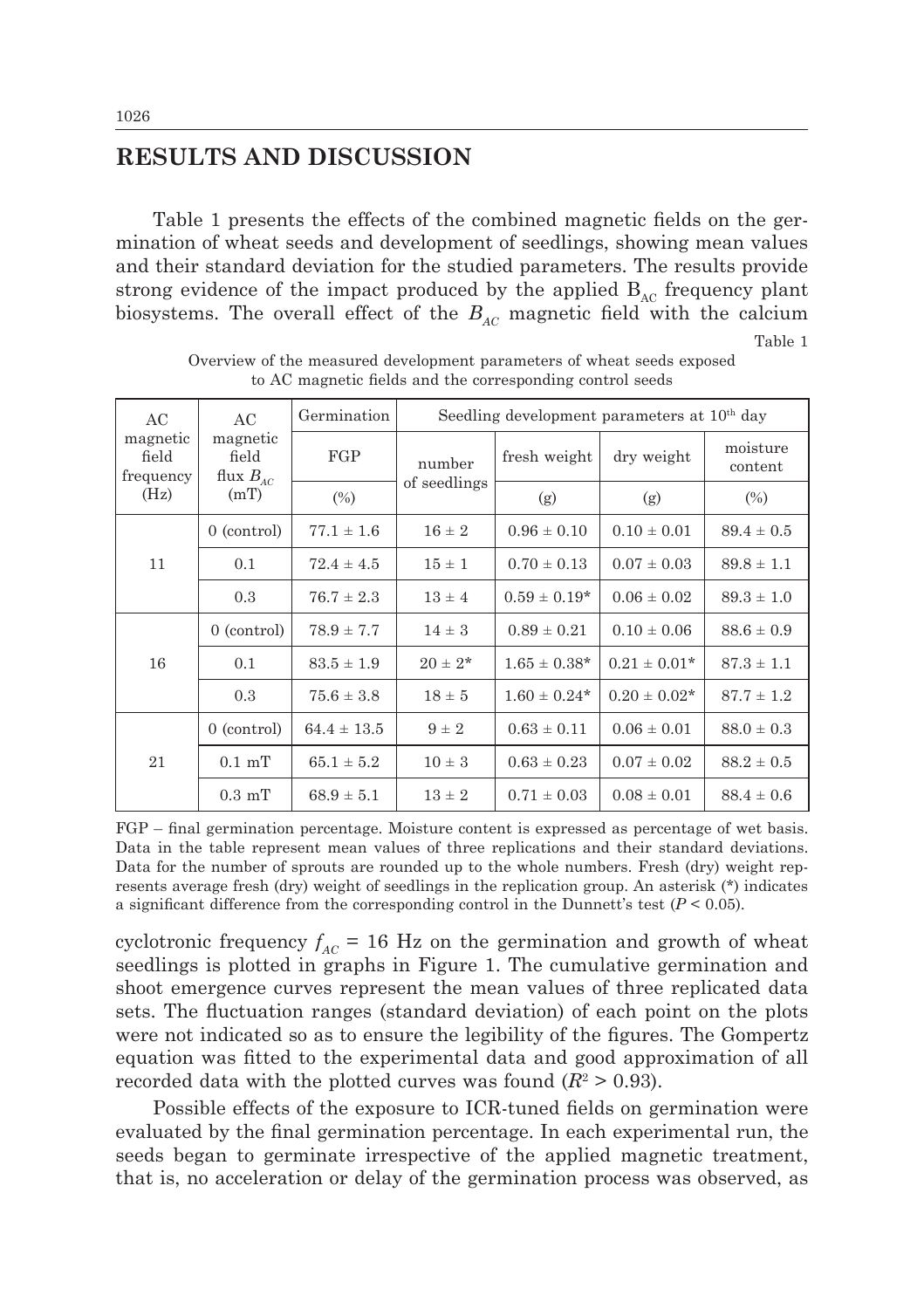# **RESULTS AND DISCUSSION**

Table 1 presents the effects of the combined magnetic fields on the germination of wheat seeds and development of seedlings, showing mean values and their standard deviation for the studied parameters. The results provide strong evidence of the impact produced by the applied  $B_{AC}$  frequency plant biosystems. The overall effect of the  $B_{AC}$  magnetic field with the calcium

Table 1

| AC<br>magnetic<br>field<br>frequency<br>(Hz) | AC<br>magnetic<br>field<br>flux $B_{AC}$<br>(mT) | Germination     | Seedling development parameters at 10 <sup>th</sup> day |                  |                   |                     |
|----------------------------------------------|--------------------------------------------------|-----------------|---------------------------------------------------------|------------------|-------------------|---------------------|
|                                              |                                                  | FGP             | number<br>of seedlings                                  | fresh weight     | dry weight        | moisture<br>content |
|                                              |                                                  | (%)             |                                                         | (g)              | (g)               | $(\%)$              |
| 11                                           | $0$ (control)                                    | $77.1 \pm 1.6$  | $16 \pm 2$                                              | $0.96 \pm 0.10$  | $0.10 \pm 0.01$   | $89.4 \pm 0.5$      |
|                                              | 0.1                                              | $72.4 \pm 4.5$  | $15 \pm 1$                                              | $0.70 \pm 0.13$  | $0.07 \pm 0.03$   | $89.8 \pm 1.1$      |
|                                              | 0.3                                              | $76.7 \pm 2.3$  | $13 \pm 4$                                              | $0.59 \pm 0.19*$ | $0.06 \pm 0.02$   | $89.3 \pm 1.0$      |
| 16                                           | $0$ (control)                                    | $78.9 \pm 7.7$  | $14 \pm 3$                                              | $0.89 \pm 0.21$  | $0.10 \pm 0.06$   | $88.6 \pm 0.9$      |
|                                              | 0.1                                              | $83.5 \pm 1.9$  | $20 \pm 2^*$                                            | $1.65 \pm 0.38*$ | $0.21 \pm 0.01*$  | $87.3 \pm 1.1$      |
|                                              | 0.3                                              | $75.6 \pm 3.8$  | $18 \pm 5$                                              | $1.60 \pm 0.24*$ | $0.20 \pm 0.02^*$ | $87.7 \pm 1.2$      |
| 21                                           | $0$ (control)                                    | $64.4 \pm 13.5$ | $9 \pm 2$                                               | $0.63 \pm 0.11$  | $0.06 \pm 0.01$   | $88.0 \pm 0.3$      |
|                                              | $0.1$ mT                                         | $65.1 \pm 5.2$  | $10 \pm 3$                                              | $0.63 \pm 0.23$  | $0.07 \pm 0.02$   | $88.2 \pm 0.5$      |
|                                              | $0.3 \text{ mT}$                                 | $68.9 \pm 5.1$  | $13 \pm 2$                                              | $0.71 \pm 0.03$  | $0.08 \pm 0.01$   | $88.4 \pm 0.6$      |

Overview of the measured development parameters of wheat seeds exposed to AC magnetic fields and the corresponding control seeds

FGP – final germination percentage. Moisture content is expressed as percentage of wet basis. Data in the table represent mean values of three replications and their standard deviations. Data for the number of sprouts are rounded up to the whole numbers. Fresh (dry) weight represents average fresh (dry) weight of seedlings in the replication group. An asterisk (\*) indicates a significant difference from the corresponding control in the Dunnett's test  $(P < 0.05)$ .

cyclotronic frequency  $f_{AC}$  = 16 Hz on the germination and growth of wheat seedlings is plotted in graphs in Figure 1. The cumulative germination and shoot emergence curves represent the mean values of three replicated data sets. The fluctuation ranges (standard deviation) of each point on the plots were not indicated so as to ensure the legibility of the figures. The Gompertz equation was fitted to the experimental data and good approximation of all recorded data with the plotted curves was found  $(R^2 > 0.93)$ .

Possible effects of the exposure to ICR-tuned fields on germination were evaluated by the final germination percentage. In each experimental run, the seeds began to germinate irrespective of the applied magnetic treatment, that is, no acceleration or delay of the germination process was observed, as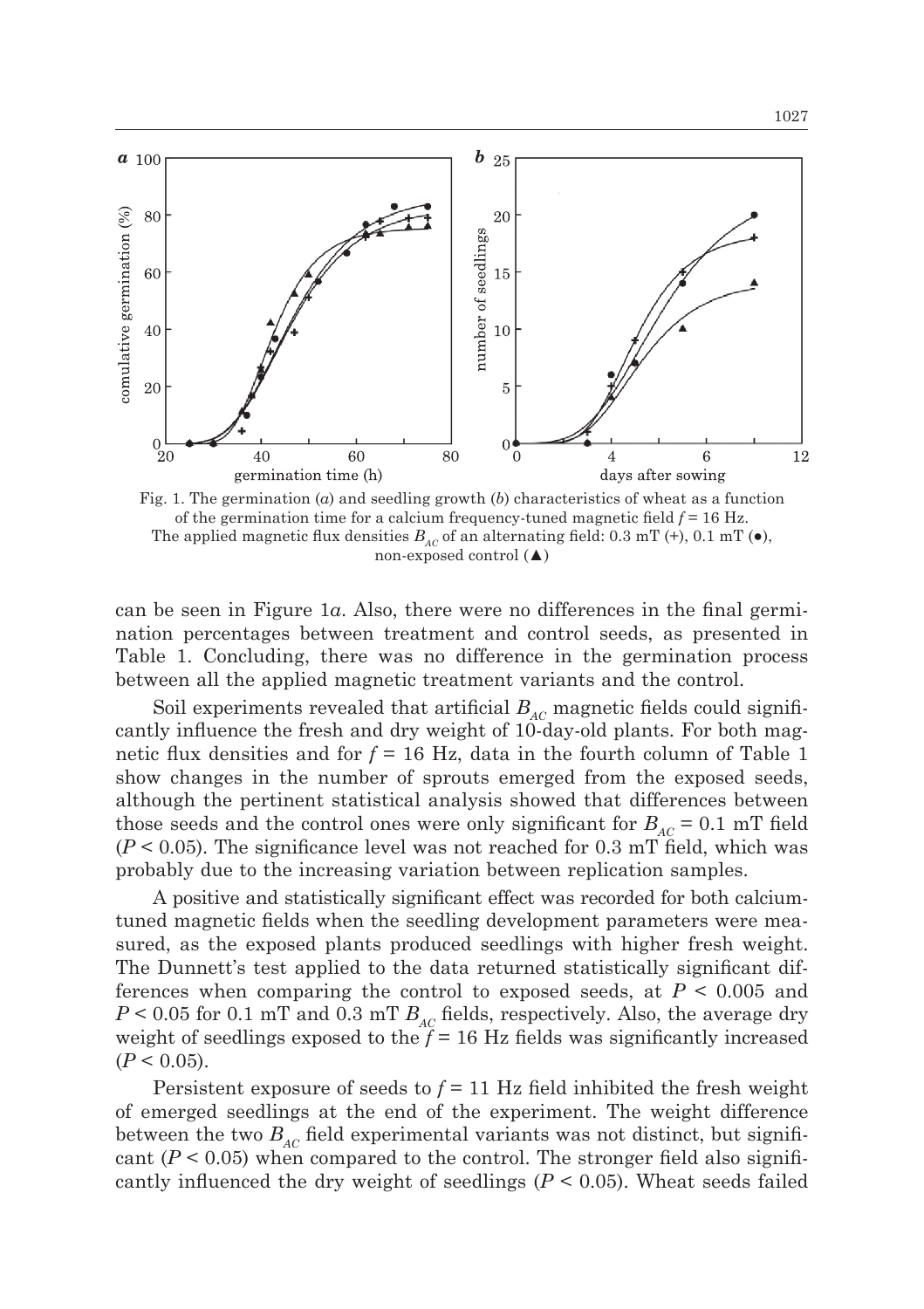

Fig. 1. The germination (*a*) and seedling growth (*b*) characteristics of wheat as a function of the germination time for a calcium frequency-tuned magnetic field *f* = 16 Hz. The applied magnetic flux densities  $B_{AC}$  of an alternating field: 0.3 mT (+), 0.1 mT ( $\bullet$ ), non-exposed control (▲)

can be seen in Figure 1*a*. Also, there were no differences in the final germination percentages between treatment and control seeds, as presented in Table 1. Concluding, there was no difference in the germination process between all the applied magnetic treatment variants and the control.

Soil experiments revealed that artificial  $B_{AC}$  magnetic fields could significantly influence the fresh and dry weight of 10-day-old plants. For both magnetic flux densities and for  $f = 16$  Hz, data in the fourth column of Table 1 show changes in the number of sprouts emerged from the exposed seeds, although the pertinent statistical analysis showed that differences between those seeds and the control ones were only significant for  $B_{AC} = 0.1$  mT field  $(P < 0.05)$ . The significance level was not reached for 0.3 mT field, which was probably due to the increasing variation between replication samples.

A positive and statistically significant effect was recorded for both calciumtuned magnetic fields when the seedling development parameters were measured, as the exposed plants produced seedlings with higher fresh weight. The Dunnett's test applied to the data returned statistically significant differences when comparing the control to exposed seeds, at  $P < 0.005$  and  $P < 0.05$  for 0.1 mT and 0.3 mT  $B_{AC}$  fields, respectively. Also, the average dry weight of seedlings exposed to the  $f = 16$  Hz fields was significantly increased  $(P < 0.05)$ .

Persistent exposure of seeds to  $f = 11$  Hz field inhibited the fresh weight of emerged seedlings at the end of the experiment. The weight difference between the two  $B_{AC}$  field experimental variants was not distinct, but significant  $(P < 0.05)$  when compared to the control. The stronger field also significantly influenced the dry weight of seedlings  $(P < 0.05)$ . Wheat seeds failed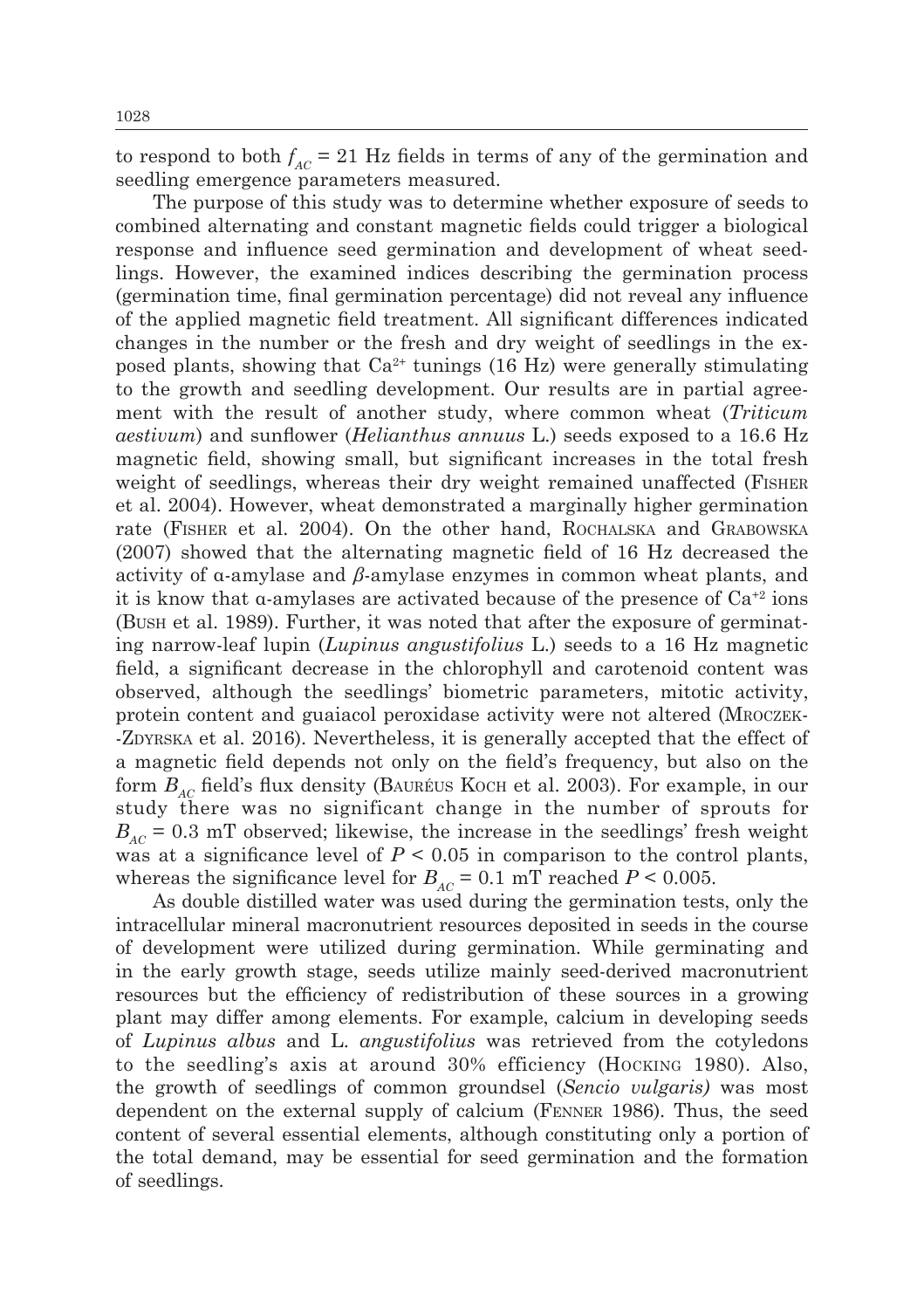to respond to both  $f_{AC} = 21$  Hz fields in terms of any of the germination and seedling emergence parameters measured.

The purpose of this study was to determine whether exposure of seeds to combined alternating and constant magnetic fields could trigger a biological response and influence seed germination and development of wheat seedlings. However, the examined indices describing the germination process (germination time, final germination percentage) did not reveal any influence of the applied magnetic field treatment. All significant differences indicated changes in the number or the fresh and dry weight of seedlings in the exposed plants, showing that  $Ca^{2+}$  tunings (16 Hz) were generally stimulating to the growth and seedling development. Our results are in partial agreement with the result of another study, where common wheat (*Triticum aestivum*) and sunflower (*Helianthus annuus* L.) seeds exposed to a 16.6 Hz magnetic field, showing small, but significant increases in the total fresh weight of seedlings, whereas their dry weight remained unaffected (Fisher et al. 2004). However, wheat demonstrated a marginally higher germination rate (Fisher et al. 2004). On the other hand, Rochalska and Grabowska (2007) showed that the alternating magnetic field of 16 Hz decreased the activity of α-amylase and *β*-amylase enzymes in common wheat plants, and it is know that  $\alpha$ -amylases are activated because of the presence of  $Ca^{2}$  ions (Bush et al. 1989). Further, it was noted that after the exposure of germinating narrow-leaf lupin (*Lupinus angustifolius* L.) seeds to a 16 Hz magnetic field, a significant decrease in the chlorophyll and carotenoid content was observed, although the seedlings' biometric parameters, mitotic activity, protein content and guaiacol peroxidase activity were not altered (Mroczek- -Zdyrska et al. 2016). Nevertheless, it is generally accepted that the effect of a magnetic field depends not only on the field's frequency, but also on the form  $B_{AC}$  field's flux density (BAURÉUS KOCH et al. 2003). For example, in our study there was no significant change in the number of sprouts for  $B_{AC}$  = 0.3 mT observed; likewise, the increase in the seedlings' fresh weight was at a significance level of  $P < 0.05$  in comparison to the control plants, whereas the significance level for  $B_{AC} = 0.1$  mT reached  $P \le 0.005$ .

As double distilled water was used during the germination tests, only the intracellular mineral macronutrient resources deposited in seeds in the course of development were utilized during germination. While germinating and in the early growth stage, seeds utilize mainly seed-derived macronutrient resources but the efficiency of redistribution of these sources in a growing plant may differ among elements. For example, calcium in developing seeds of *Lupinus albus* and L. *angustifolius* was retrieved from the cotyledons to the seedling's axis at around 30% efficiency (Hocking 1980). Also, the growth of seedlings of common groundsel (*Sencio vulgaris)* was most dependent on the external supply of calcium (Fenner 1986). Thus, the seed content of several essential elements, although constituting only a portion of the total demand, may be essential for seed germination and the formation of seedlings.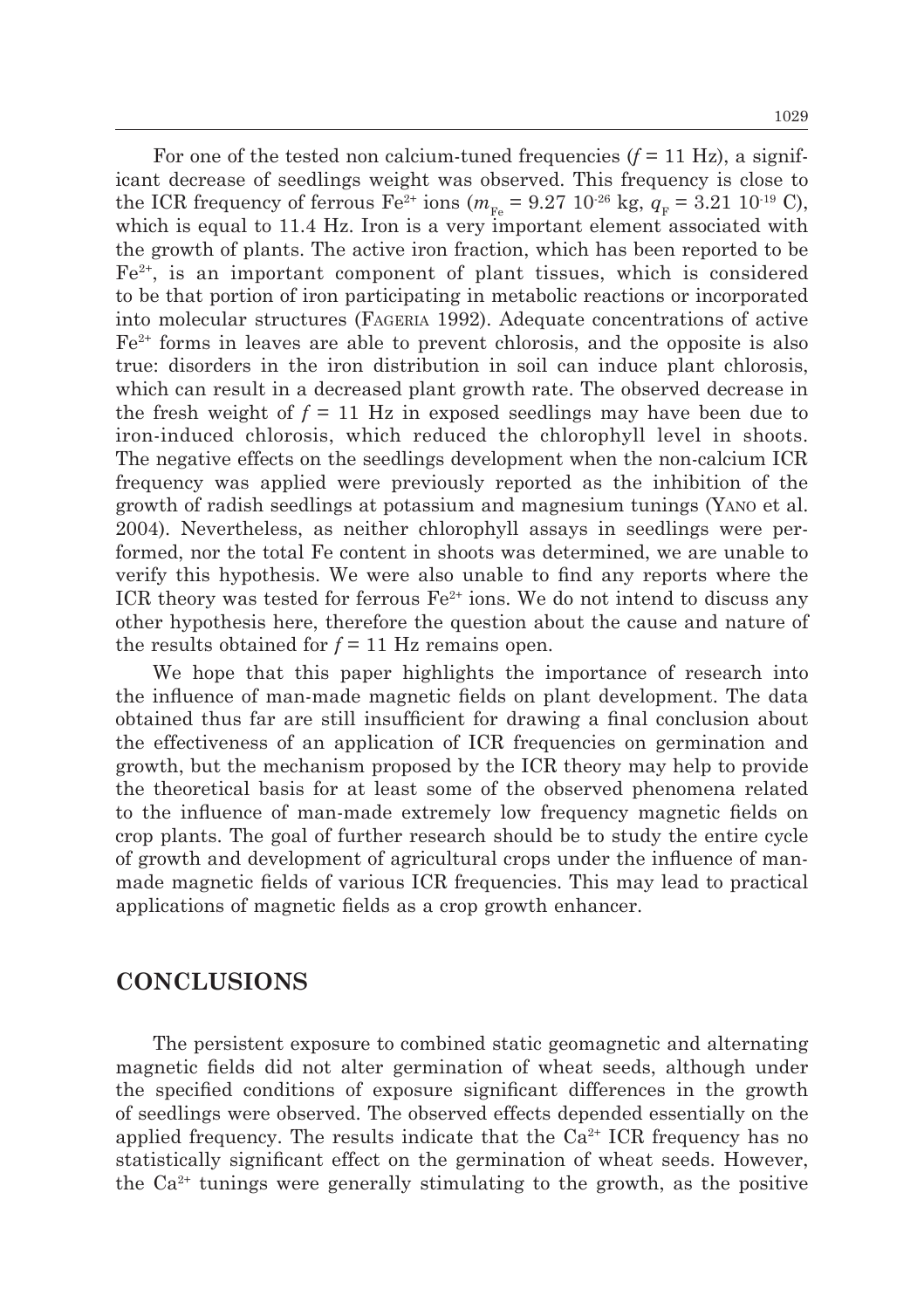For one of the tested non calcium-tuned frequencies  $(f = 11 \text{ Hz})$ , a significant decrease of seedlings weight was observed. This frequency is close to the ICR frequency of ferrous Fe<sup>2+</sup> ions ( $m_{F_e} = 9.27 \, 10^{-26} \, \text{kg}, \, q_F = 3.21 \, 10^{-19} \, \text{C}$ ), which is equal to 11.4 Hz. Iron is a very important element associated with the growth of plants. The active iron fraction, which has been reported to be  $Fe<sup>2+</sup>$ , is an important component of plant tissues, which is considered to be that portion of iron participating in metabolic reactions or incorporated into molecular structures (Fageria 1992). Adequate concentrations of active  $Fe<sup>2+</sup>$  forms in leaves are able to prevent chlorosis, and the opposite is also true: disorders in the iron distribution in soil can induce plant chlorosis, which can result in a decreased plant growth rate. The observed decrease in the fresh weight of  $f = 11$  Hz in exposed seedlings may have been due to iron-induced chlorosis, which reduced the chlorophyll level in shoots. The negative effects on the seedlings development when the non-calcium ICR frequency was applied were previously reported as the inhibition of the growth of radish seedlings at potassium and magnesium tunings (Yano et al. 2004). Nevertheless, as neither chlorophyll assays in seedlings were performed, nor the total Fe content in shoots was determined, we are unable to verify this hypothesis. We were also unable to find any reports where the ICR theory was tested for ferrous  $Fe^{2+}$  ions. We do not intend to discuss any other hypothesis here, therefore the question about the cause and nature of the results obtained for  $f = 11$  Hz remains open.

We hope that this paper highlights the importance of research into the influence of man-made magnetic fields on plant development. The data obtained thus far are still insufficient for drawing a final conclusion about the effectiveness of an application of ICR frequencies on germination and growth, but the mechanism proposed by the ICR theory may help to provide the theoretical basis for at least some of the observed phenomena related to the influence of man-made extremely low frequency magnetic fields on crop plants. The goal of further research should be to study the entire cycle of growth and development of agricultural crops under the influence of manmade magnetic fields of various ICR frequencies. This may lead to practical applications of magnetic fields as a crop growth enhancer.

### **CONCLUSIONS**

The persistent exposure to combined static geomagnetic and alternating magnetic fields did not alter germination of wheat seeds, although under the specified conditions of exposure significant differences in the growth of seedlings were observed. The observed effects depended essentially on the applied frequency. The results indicate that the  $Ca<sup>2+</sup> ICR$  frequency has no statistically significant effect on the germination of wheat seeds. However, the  $Ca^{2+}$  tunings were generally stimulating to the growth, as the positive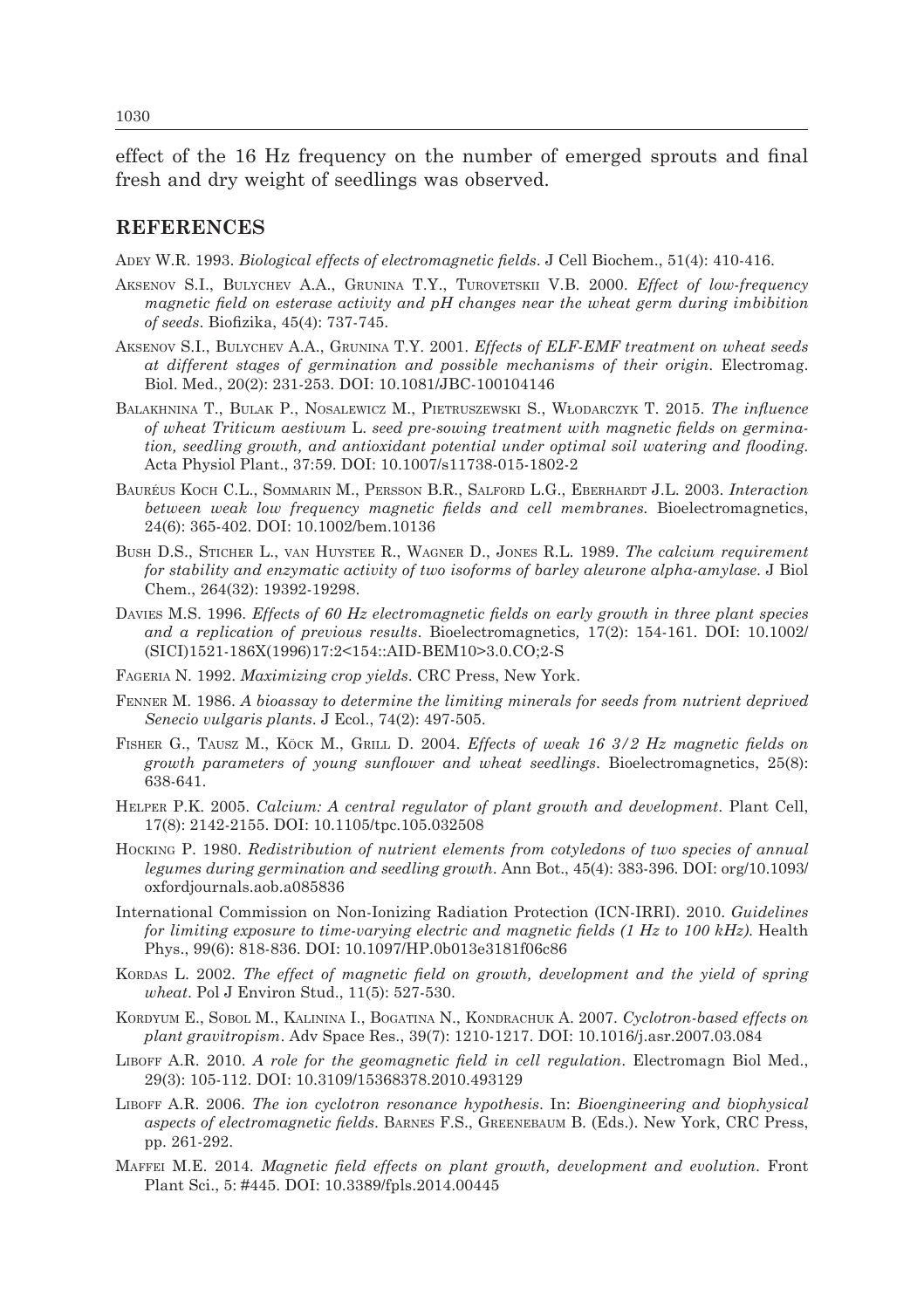effect of the 16 Hz frequency on the number of emerged sprouts and final fresh and dry weight of seedlings was observed.

#### **REFERENCES**

Adey W.R. 1993. *Biological effects of electromagnetic fields*. J Cell Biochem., 51(4): 410-416.

- Aksenov S.I., Bulychev A.A., Grunina T.Y., Turovetskii V.B. 2000. *Effect of low-frequency magnetic field on esterase activity and pH changes near the wheat germ during imbibition of seeds*. Biofizika, 45(4): 737-745.
- Aksenov S.I., Bulychev A.A., Grunina T.Y. 2001. *Effects of ELF-EMF treatment on wheat seeds at different stages of germination and possible mechanisms of their origin*. Electromag. Biol. Med., 20(2): 231-253. DOI: 10.1081/JBC-100104146
- Balakhnina T., Bulak P., Nosalewicz M., Pietruszewski S., Włodarczyk T. 2015. *The influence of wheat Triticum aestivum* L. *seed pre-sowing treatment with magnetic fields on germination, seedling growth, and antioxidant potential under optimal soil watering and flooding.* Acta Physiol Plant., 37:59. DOI: 10.1007/s11738-015-1802-2
- Bauréus Koch C.L., Sommarin M., Persson B.R., Salford L.G., Eberhardt J.L. 2003. *Interaction between weak low frequency magnetic fields and cell membranes.* Bioelectromagnetics, 24(6): 365-402. DOI: 10.1002/bem.10136
- Bush D.S., Sticher L., van Huystee R., Wagner D., Jones R.L. 1989. *The calcium requirement for stability and enzymatic activity of two isoforms of barley aleurone alpha-amylase*. J Biol Chem., 264(32): 19392-19298.
- Davies M.S. 1996. *Effects of 60 Hz electromagnetic fields on early growth in three plant species and a replication of previous results*. Bioelectromagnetics*,* 17(2): 154-161. DOI: 10.1002/ (SICI)1521-186X(1996)17:2<154::AID-BEM10>3.0.CO;2-S
- Fageria N. 1992. *Maximizing crop yields*. CRC Press, New York.
- Fenner M. 1986. *A bioassay to determine the limiting minerals for seeds from nutrient deprived Senecio vulgaris plants*. J Ecol., 74(2): 497-505.
- Fisher G., Tausz M., Köck M., Grill D. 2004. *Effects of weak 16 3/2 Hz magnetic fields on growth parameters of young sunflower and wheat seedlings*. Bioelectromagnetics, 25(8): 638-641.
- Helper P.K. 2005. *Calcium: A central regulator of plant growth and development*. Plant Cell, 17(8): 2142-2155. DOI: 10.1105/tpc.105.032508
- Hocking P. 1980. *Redistribution of nutrient elements from cotyledons of two species of annual legumes during germination and seedling growth*. Ann Bot., 45(4): 383-396. DOI: org/10.1093/ oxfordjournals.aob.a085836
- International Commission on Non-Ionizing Radiation Protection (ICN-IRRI). 2010. *Guidelines for limiting exposure to time-varying electric and magnetic fields (1 Hz to 100 kHz)*. Health Phys., 99(6): 818-836. DOI: 10.1097/HP.0b013e3181f06c86
- KORDAS L. 2002. *The effect of magnetic field on growth, development and the yield of spring wheat*. Pol J Environ Stud., 11(5): 527-530.
- Kordyum E., Sobol M., Kalinina I., Bogatina N., Kondrachuk A. 2007. *Cyclotron-based effects on plant gravitropism*. Adv Space Res., 39(7): 1210-1217. DOI: 10.1016/j.asr.2007.03.084
- Liboff A.R. 2010. *A role for the geomagnetic field in cell regulation*. Electromagn Biol Med., 29(3): 105-112. DOI: 10.3109/15368378.2010.493129
- Liboff A.R. 2006. *The ion cyclotron resonance hypothesis*. In: *Bioengineering and biophysical aspects of electromagnetic fields*. Barnes F.S., Greenebaum B. (Eds.). New York, CRC Press, pp. 261-292.
- Maffei M.E. 2014. *Magnetic field effects on plant growth, development and evolution*. Front Plant Sci., 5: #445. DOI: 10.3389/fpls.2014.00445